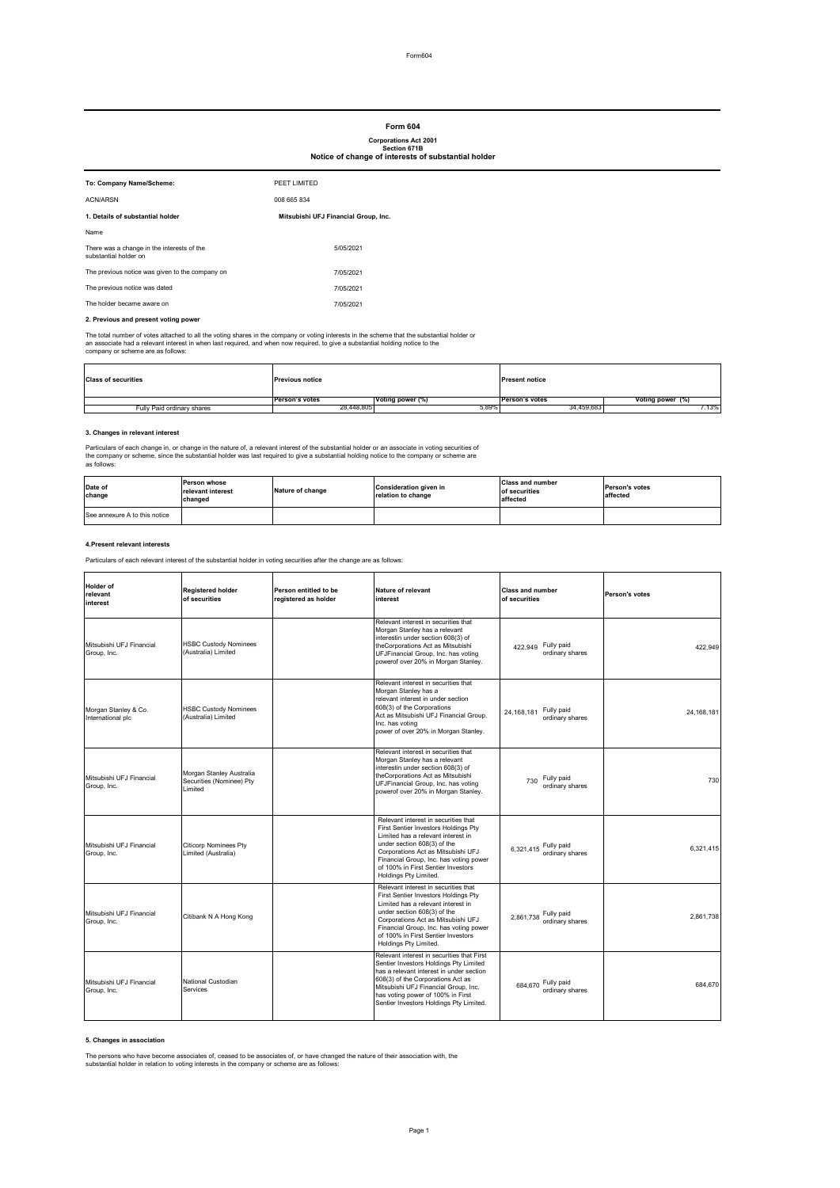# **Form 604**

# **Corporations Act 2001 Section 671B**

# **Notice of change of interests of substantial holder**

| To: Company Name/Scheme:                                            | PEET LIMITED                         |
|---------------------------------------------------------------------|--------------------------------------|
| ACN/ARSN                                                            | 008 665 834                          |
| 1. Details of substantial holder                                    | Mitsubishi UFJ Financial Group, Inc. |
| Name                                                                |                                      |
| There was a change in the interests of the<br>substantial holder on | 5/05/2021                            |
| The previous notice was given to the company on                     | 7/05/2021                            |
| The previous notice was dated                                       | 7/05/2021                            |
| The holder became aware on                                          | 7/05/2021                            |

### **2. Previous and present voting power**

The total number of votes attached to all the voting shares in the company or voting interests in the soheme that the substantial holder or<br>an associate had a relevant interest in when last required, and when now required,

| <b>Class of securities</b> | <b>Previous notice</b> |                  | <b>Present notice</b> |                  |
|----------------------------|------------------------|------------------|-----------------------|------------------|
|                            | <b>Person's votes</b>  | Voting power (%) | <b>Person's votes</b> | Voting power (%) |
| Fully Paid ordinary shares | 28.448.805             | 5.89%            | 34.459.683            | .13%             |

### **3. Changes in relevant interest**

L.

Particulars of each change in, or change in the nature of, a relevant interest of the substantial holder or an associate in voting securities of<br>the company or scheme, since the substantial holder was last required to give

| Date of<br>change             | <b>Person whose</b><br>relevant interest<br>changed | Nature of change | <b>Consideration given in</b><br>relation to change | <b>Class and number</b><br>of securities<br>affected | <b>Person's votes</b><br>affected |
|-------------------------------|-----------------------------------------------------|------------------|-----------------------------------------------------|------------------------------------------------------|-----------------------------------|
| See annexure A to this notice |                                                     |                  |                                                     |                                                      |                                   |

#### **4.Present relevant interests**

Particulars of each relevant interest of the substantial holder in voting securities after the change are as follows:

| Holder of<br>relevant<br>interest         | <b>Registered holder</b><br>of securities                       | Person entitled to be<br>registered as holder | Nature of relevant<br>interest                                                                                                                                                                                                                                                                   | <b>Class and number</b><br>of securities    | Person's votes |
|-------------------------------------------|-----------------------------------------------------------------|-----------------------------------------------|--------------------------------------------------------------------------------------------------------------------------------------------------------------------------------------------------------------------------------------------------------------------------------------------------|---------------------------------------------|----------------|
| Mitsubishi UFJ Financial<br>Group, Inc.   | <b>HSBC Custody Nominees</b><br>(Australia) Limited             |                                               | Relevant interest in securities that<br>Morgan Stanley has a relevant<br>interestin under section 608(3) of<br>theCorporations Act as Mitsubishi<br>UFJFinancial Group, Inc. has voting<br>powerof over 20% in Morgan Stanley.                                                                   | Fully paid<br>422.949<br>ordinary shares    | 422.949        |
| Morgan Stanley & Co.<br>International plc | <b>HSBC Custody Nominees</b><br>(Australia) Limited             |                                               | Relevant interest in securities that<br>Morgan Stanley has a<br>relevant interest in under section<br>608(3) of the Corporations<br>Act as Mitsubishi UFJ Financial Group.<br>Inc. has voting<br>power of over 20% in Morgan Stanley.                                                            | Fully paid<br>24.168.181<br>ordinary shares | 24.168.181     |
| Mitsubishi UFJ Financial<br>Group, Inc.   | Morgan Stanley Australia<br>Securities (Nominee) Pty<br>Limited |                                               | Relevant interest in securities that<br>Morgan Stanley has a relevant<br>interestin under section 608(3) of<br>theCorporations Act as Mitsubishi<br>UFJFinancial Group, Inc. has voting<br>powerof over 20% in Morgan Stanley.                                                                   | Fully paid<br>730<br>ordinary shares        | 730            |
| Mitsubishi UFJ Financial<br>Group, Inc.   | <b>Citicorp Nominees Pty</b><br>Limited (Australia)             |                                               | Relevant interest in securities that<br>First Sentier Investors Holdings Pty<br>Limited has a relevant interest in<br>under section 608(3) of the<br>Corporations Act as Mitsubishi UFJ<br>Financial Group, Inc. has voting power<br>of 100% in First Sentier Investors<br>Holdings Pty Limited. | 6,321,415 Fully paid<br>ordinary shares     | 6,321,415      |
| Mitsubishi UFJ Financial<br>Group, Inc.   | Citibank N A Hong Kong                                          |                                               | Relevant interest in securities that<br>First Sentier Investors Holdings Pty<br>Limited has a relevant interest in<br>under section 608(3) of the<br>Corporations Act as Mitsubishi UFJ<br>Financial Group, Inc. has voting power<br>of 100% in First Sentier Investors<br>Holdings Pty Limited. | 2,861,738 Fully paid<br>ordinary shares     | 2.861.738      |
| Mitsubishi UFJ Financial<br>Group, Inc.   | National Custodian<br>Services                                  |                                               | Relevant interest in securities that First<br>Sentier Investors Holdings Pty Limited<br>has a relevant interest in under section<br>608(3) of the Corporations Act as<br>Mitsubishi UFJ Financial Group, Inc.<br>has voting power of 100% in First<br>Sentier Investors Holdings Pty Limited.    | 684,670 Fully paid<br>ordinary shares       | 684.670        |

### **5. Changes in association**

The persons who have become associates of, ceased to be associates of, or have changed the nature of their association with, the substantial holder in relation to voting interests in the company or scheme are as follows: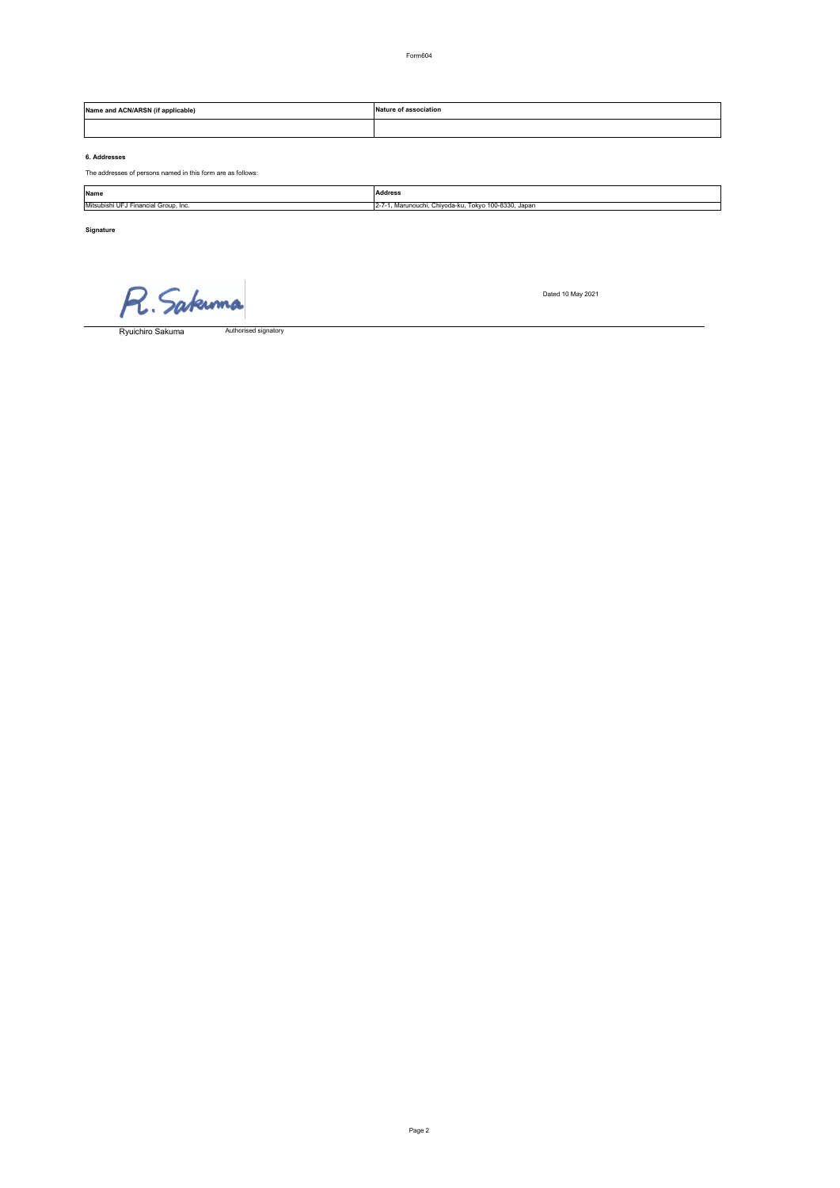Form604

| l (if applicable)<br><b>Nam</b><br><b>ALNARSN</b> | <sup>-≁</sup> association<br>Nature of<br>.<br>. |
|---------------------------------------------------|--------------------------------------------------|
|                                                   |                                                  |

# **6. Addresses**

The addresses of persons named in this form are as follows:

| Name                                 | <b>Address</b>                                                 |
|--------------------------------------|----------------------------------------------------------------|
| Mitsubishi UFJ Financial Group, Inc. | . Tokvo 100-8330. Japan<br>. Marunouchi, Chivoda-ku,<br>$12 -$ |
|                                      |                                                                |

Page 2

**Signature**

R. Sakuma

Authorised signatory Ryuichiro Sakuma

Dated 10 May 2021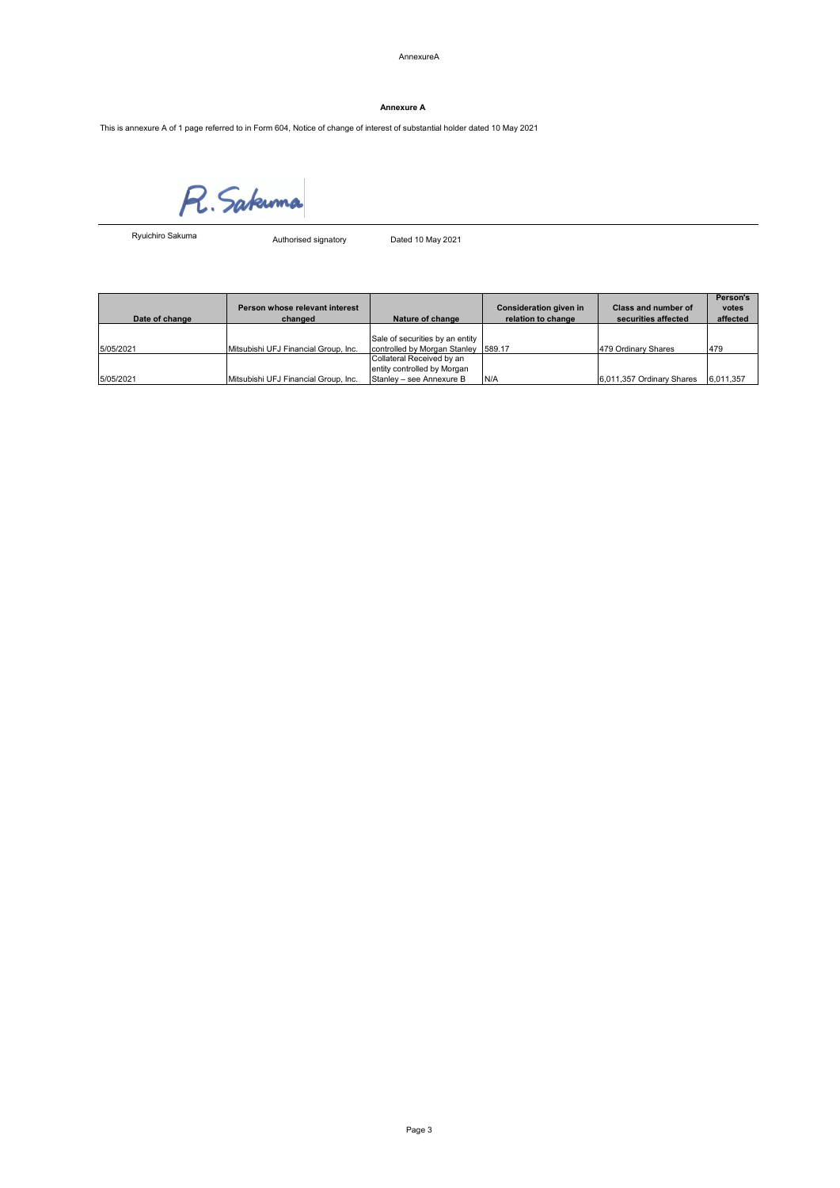AnnexureA

# **Annexure A**

This is annexure A of 1 page referred to in Form 604, Notice of change of interest of substantial holder dated 10 May 2021

R. Sakuma

Ryuichiro Sakuma

Authorised signatory Dated 10 May 2021

| Date of change | Person whose relevant interest<br>changed | Nature of change                                                                     | Consideration given in<br>relation to change | Class and number of<br>securities affected | Person's<br>votes<br>affected |
|----------------|-------------------------------------------|--------------------------------------------------------------------------------------|----------------------------------------------|--------------------------------------------|-------------------------------|
| 5/05/2021      | Mitsubishi UFJ Financial Group, Inc.      | Sale of securities by an entity<br>controlled by Morgan Stanley 589.17               |                                              | 479 Ordinary Shares                        | 479                           |
| 5/05/2021      | Mitsubishi UFJ Financial Group, Inc.      | Collateral Received by an<br>entity controlled by Morgan<br>Stanley - see Annexure B | N/A                                          | 6,011,357 Ordinary Shares                  | 6,011,357                     |